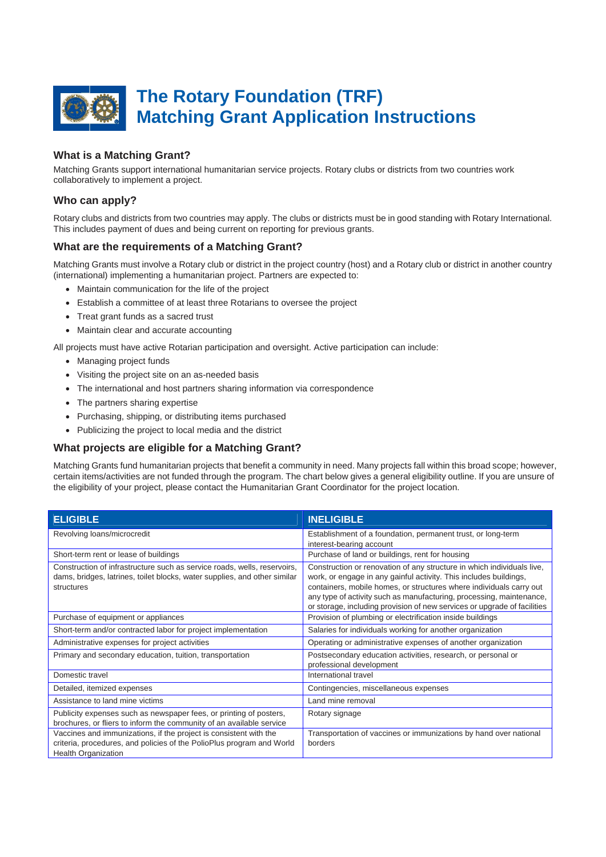

# **What is a Matching Grant?**

Matching Grants support international humanitarian service projects. Rotary clubs or districts from two countries work collaboratively to implement a project.

# **Who can apply?**

Rotary clubs and districts from two countries may apply. The clubs or districts must be in good standing with Rotary International. This includes payment of dues and being current on reporting for previous grants.

## **What are the requirements of a Matching Grant?**

Matching Grants must involve a Rotary club or district in the project country (host) and a Rotary club or district in another country (international) implementing a humanitarian project. Partners are expected to:

- Maintain communication for the life of the project
- Establish a committee of at least three Rotarians to oversee the project
- Treat grant funds as a sacred trust
- Maintain clear and accurate accounting

All projects must have active Rotarian participation and oversight. Active participation can include:

- Managing project funds
- Visiting the project site on an as-needed basis
- The international and host partners sharing information via correspondence
- The partners sharing expertise
- Purchasing, shipping, or distributing items purchased
- Publicizing the project to local media and the district

## **What projects are eligible for a Matching Grant?**

Matching Grants fund humanitarian projects that benefit a community in need. Many projects fall within this broad scope; however, certain items/activities are not funded through the program. The chart below gives a general eligibility outline. If you are unsure of the eligibility of your project, please contact the Humanitarian Grant Coordinator for the project location.

| <b>ELIGIBLE</b>                                                                                                                                                          | <b>INELIGIBLE</b>                                                                                                                                                                                                                                                                                                                                                      |
|--------------------------------------------------------------------------------------------------------------------------------------------------------------------------|------------------------------------------------------------------------------------------------------------------------------------------------------------------------------------------------------------------------------------------------------------------------------------------------------------------------------------------------------------------------|
| Revolving loans/microcredit                                                                                                                                              | Establishment of a foundation, permanent trust, or long-term                                                                                                                                                                                                                                                                                                           |
|                                                                                                                                                                          | interest-bearing account                                                                                                                                                                                                                                                                                                                                               |
| Short-term rent or lease of buildings                                                                                                                                    | Purchase of land or buildings, rent for housing                                                                                                                                                                                                                                                                                                                        |
| Construction of infrastructure such as service roads, wells, reservoirs,<br>dams, bridges, latrines, toilet blocks, water supplies, and other similar<br>structures      | Construction or renovation of any structure in which individuals live,<br>work, or engage in any gainful activity. This includes buildings,<br>containers, mobile homes, or structures where individuals carry out<br>any type of activity such as manufacturing, processing, maintenance,<br>or storage, including provision of new services or upgrade of facilities |
| Purchase of equipment or appliances                                                                                                                                      | Provision of plumbing or electrification inside buildings                                                                                                                                                                                                                                                                                                              |
| Short-term and/or contracted labor for project implementation                                                                                                            | Salaries for individuals working for another organization                                                                                                                                                                                                                                                                                                              |
| Administrative expenses for project activities                                                                                                                           | Operating or administrative expenses of another organization                                                                                                                                                                                                                                                                                                           |
| Primary and secondary education, tuition, transportation                                                                                                                 | Postsecondary education activities, research, or personal or<br>professional development                                                                                                                                                                                                                                                                               |
| Domestic travel                                                                                                                                                          | International travel                                                                                                                                                                                                                                                                                                                                                   |
| Detailed, itemized expenses                                                                                                                                              | Contingencies, miscellaneous expenses                                                                                                                                                                                                                                                                                                                                  |
| Assistance to land mine victims                                                                                                                                          | Land mine removal                                                                                                                                                                                                                                                                                                                                                      |
| Publicity expenses such as newspaper fees, or printing of posters,<br>brochures, or fliers to inform the community of an available service                               | Rotary signage                                                                                                                                                                                                                                                                                                                                                         |
| Vaccines and immunizations, if the project is consistent with the<br>criteria, procedures, and policies of the PolioPlus program and World<br><b>Health Organization</b> | Transportation of vaccines or immunizations by hand over national<br>borders                                                                                                                                                                                                                                                                                           |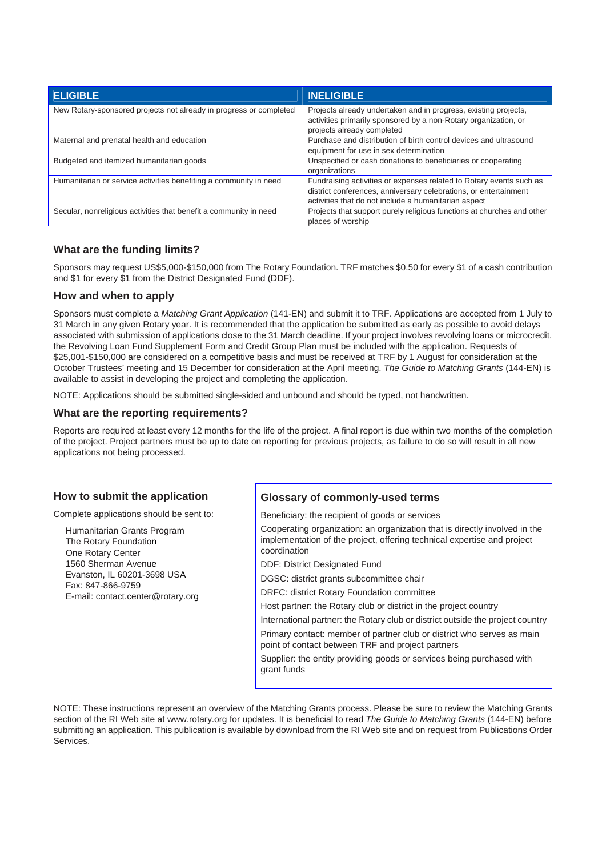| <b>ELIGIBLE</b>                                                    | <b>INELIGIBLE</b>                                                                                                                                                                               |
|--------------------------------------------------------------------|-------------------------------------------------------------------------------------------------------------------------------------------------------------------------------------------------|
| New Rotary-sponsored projects not already in progress or completed | Projects already undertaken and in progress, existing projects,<br>activities primarily sponsored by a non-Rotary organization, or<br>projects already completed                                |
| Maternal and prenatal health and education                         | Purchase and distribution of birth control devices and ultrasound<br>equipment for use in sex determination                                                                                     |
| Budgeted and itemized humanitarian goods                           | Unspecified or cash donations to beneficiaries or cooperating<br>organizations                                                                                                                  |
| Humanitarian or service activities benefiting a community in need  | Fundraising activities or expenses related to Rotary events such as<br>district conferences, anniversary celebrations, or entertainment<br>activities that do not include a humanitarian aspect |
| Secular, nonreligious activities that benefit a community in need  | Projects that support purely religious functions at churches and other<br>places of worship                                                                                                     |

# **What are the funding limits?**

Sponsors may request US\$5,000-\$150,000 from The Rotary Foundation. TRF matches \$0.50 for every \$1 of a cash contribution and \$1 for every \$1 from the District Designated Fund (DDF).

### **How and when to apply**

Sponsors must complete a *Matching Grant Application* (141-EN) and submit it to TRF. Applications are accepted from 1 July to 31 March in any given Rotary year. It is recommended that the application be submitted as early as possible to avoid delays associated with submission of applications close to the 31 March deadline. If your project involves revolving loans or microcredit, the Revolving Loan Fund Supplement Form and Credit Group Plan must be included with the application. Requests of \$25,001-\$150,000 are considered on a competitive basis and must be received at TRF by 1 August for consideration at the October Trustees' meeting and 15 December for consideration at the April meeting. *The Guide to Matching Grants* (144-EN) is available to assist in developing the project and completing the application.

NOTE: Applications should be submitted single-sided and unbound and should be typed, not handwritten.

### **What are the reporting requirements?**

Reports are required at least every 12 months for the life of the project. A final report is due within two months of the completion of the project. Project partners must be up to date on reporting for previous projects, as failure to do so will result in all new applications not being processed.

## **How to submit the application**

Complete applications should be sent to:

Humanitarian Grants Program The Rotary Foundation One Rotary Center 1560 Sherman Avenue Evanston, IL 60201-3698 USA Fax: 847-866-9759 E-mail: contact.center@rotary.org

## **Glossary of commonly-used terms**

Beneficiary: the recipient of goods or services

Cooperating organization: an organization that is directly involved in the implementation of the project, offering technical expertise and project coordination

DDF: District Designated Fund

DGSC: district grants subcommittee chair

DRFC: district Rotary Foundation committee

Host partner: the Rotary club or district in the project country

International partner: the Rotary club or district outside the project country Primary contact: member of partner club or district who serves as main point of contact between TRF and project partners

Supplier: the entity providing goods or services being purchased with grant funds

NOTE: These instructions represent an overview of the Matching Grants process. Please be sure to review the Matching Grants section of the RI Web site at www.rotary.org for updates. It is beneficial to read *The Guide to Matching Grants* (144-EN) before submitting an application. This publication is available by download from the RI Web site and on request from Publications Order Services.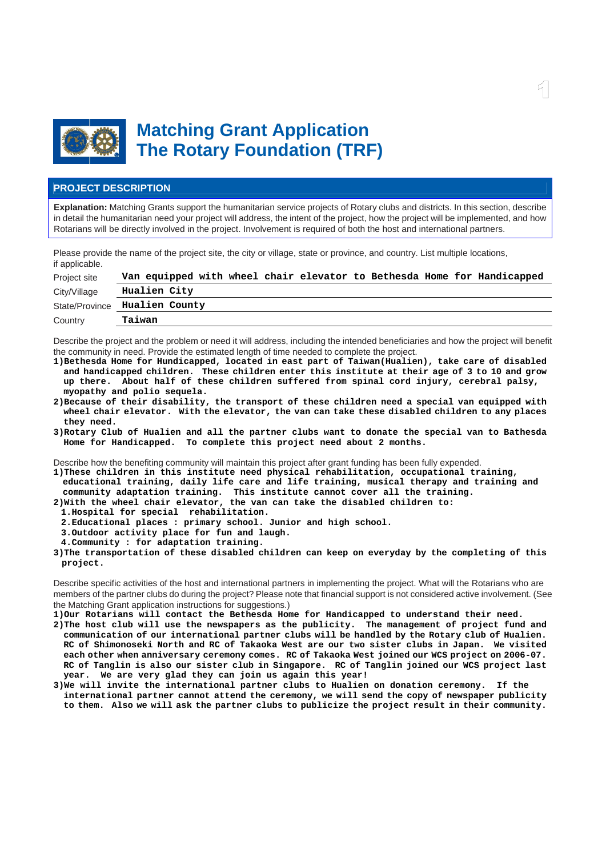

# **Matching Grant Application The Rotary Foundation (TRF)**

### **PROJECT DESCRIPTION**

**Explanation:** Matching Grants support the humanitarian service projects of Rotary clubs and districts. In this section, describe in detail the humanitarian need your project will address, the intent of the project, how the project will be implemented, and how Rotarians will be directly involved in the project. Involvement is required of both the host and international partners.

Please provide the name of the project site, the city or village, state or province, and country. List multiple locations, if applicable.

| Project site   | Van equipped with wheel chair elevator to Bethesda Home for Handicapped |
|----------------|-------------------------------------------------------------------------|
| City/Village   | Hualien City                                                            |
| State/Province | Hualien County                                                          |
| Country        | Taiwan                                                                  |

Describe the project and the problem or need it will address, including the intended beneficiaries and how the project will benefit the community in need. Provide the estimated length of time needed to complete the project.

- **1)Bethesda Home for Hundicapped, located in east part of Taiwan(Hualien), take care of disabled and handicapped children. These children enter this institute at their age of 3 to 10 and grow up there. About half of these children suffered from spinal cord injury, cerebral palsy, myopathy and polio sequela.**
- **2)Because of their disability, the transport of these children need a special van equipped with wheel chair elevator. With the elevator, the van can take these disabled children to any places they need.**
- **3)Rotary Club of Hualien and all the partner clubs want to donate the special van to Bathesda Home for Handicapped. To complete this project need about 2 months.**

Describe how the benefiting community will maintain this project after grant funding has been fully expended.

- **1)These children in this institute need physical rehabilitation, occupational training, educational training, daily life care and life training, musical therapy and training and community adaptation training. This institute cannot cover all the training.**
- **2)With the wheel chair elevator, the van can take the disabled children to:**
- **1.Hospital for special rehabilitation.**
- **2.Educational places : primary school. Junior and high school.**
- **3.Outdoor activity place for fun and laugh.**
- **4.Community : for adaptation training.**
- **3)The transportation of these disabled children can keep on everyday by the completing of this project.**

Describe specific activities of the host and international partners in implementing the project. What will the Rotarians who are members of the partner clubs do during the project? Please note that financial support is not considered active involvement. (See the Matching Grant application instructions for suggestions.)

**1)Our Rotarians will contact the Bethesda Home for Handicapped to understand their need.** 

- **2)The host club will use the newspapers as the publicity. The management of project fund and communication of our international partner clubs will be handled by the Rotary club of Hualien. RC of Shimonoseki North and RC of Takaoka West are our two sister clubs in Japan. We visited each other when anniversary ceremony comes. RC of Takaoka West joined our WCS project on 2006-07. RC of Tanglin is also our sister club in Singapore. RC of Tanglin joined our WCS project last year. We are very glad they can join us again this year!**
- **3)We will invite the international partner clubs to Hualien on donation ceremony. If the international partner cannot attend the ceremony, we will send the copy of newspaper publicity to them. Also we will ask the partner clubs to publicize the project result in their community.**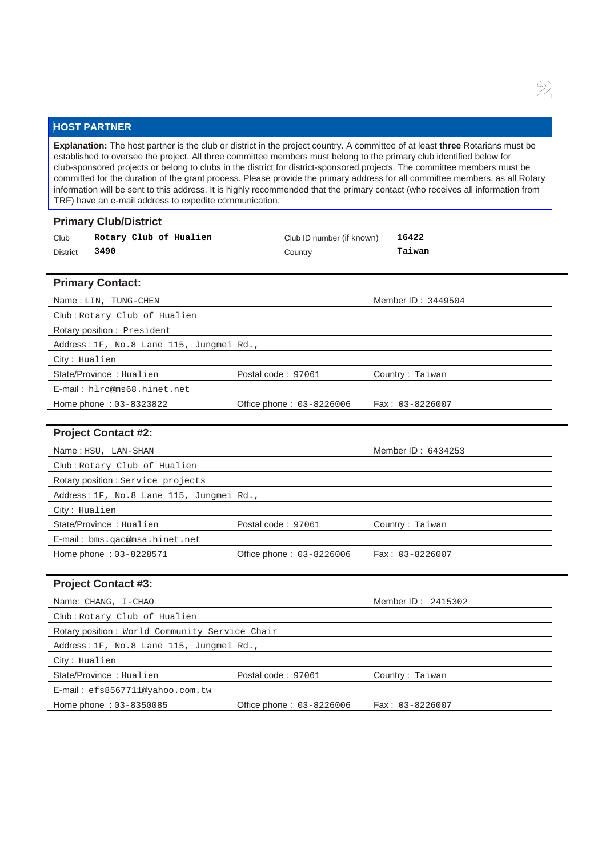# **HOST PARTNER**

**Explanation:** The host partner is the club or district in the project country. A committee of at least **three** Rotarians must be established to oversee the project. All three committee members must belong to the primary club identified below for club-sponsored projects or belong to clubs in the district for district-sponsored projects. The committee members must be committed for the duration of the grant process. Please provide the primary address for all committee members, as all Rotary information will be sent to this address. It is highly recommended that the primary contact (who receives all information from TRF) have an e-mail address to expedite communication.

| <b>Primary Club/District</b>                   |                           |                    |
|------------------------------------------------|---------------------------|--------------------|
| Rotary Club of Hualien<br>Club                 | Club ID number (if known) | 16422              |
| 3490<br><b>District</b>                        | Country                   | Taiwan             |
|                                                |                           |                    |
| <b>Primary Contact:</b>                        |                           |                    |
| Name: LIN, TUNG-CHEN                           |                           | Member ID: 3449504 |
| Club: Rotary Club of Hualien                   |                           |                    |
| Rotary position: President                     |                           |                    |
| Address: 1F, No.8 Lane 115, Jungmei Rd.,       |                           |                    |
| City: Hualien                                  |                           |                    |
| State/Province: Hualien                        | Postal code: 97061        | Country: Taiwan    |
| E-mail: hlrc@ms68.hinet.net                    |                           |                    |
| Home phone: 03-8323822                         | Office phone: 03-8226006  | $Fax: 03-8226007$  |
|                                                |                           |                    |
| <b>Project Contact #2:</b>                     |                           |                    |
| Name: HSU, LAN-SHAN                            |                           | Member ID: 6434253 |
| Club: Rotary Club of Hualien                   |                           |                    |
| Rotary position : Service projects             |                           |                    |
| Address: 1F, No.8 Lane 115, Jungmei Rd.,       |                           |                    |
| City: Hualien                                  |                           |                    |
| State/Province: Hualien                        | Postal code: 97061        | Country: Taiwan    |
| E-mail: bms.qac@msa.hinet.net                  |                           |                    |
| Home phone: 03-8228571                         | Office phone: 03-8226006  | Fax: 03-8226007    |
|                                                |                           |                    |
| <b>Project Contact #3:</b>                     |                           |                    |
| Name: CHANG, I-CHAO                            |                           | Member ID: 2415302 |
| Club: Rotary Club of Hualien                   |                           |                    |
| Rotary position: World Community Service Chair |                           |                    |
| Address: 1F, No.8 Lane 115, Jungmei Rd.,       |                           |                    |
| City: Hualien                                  |                           |                    |
| State/Province: Hualien                        | Postal code: 97061        | Country: Taiwan    |
| E-mail: efs8567711@yahoo.com.tw                |                           |                    |

Home phone : 03-8350085 Office phone : 03-8226006 Fax : 03-8226007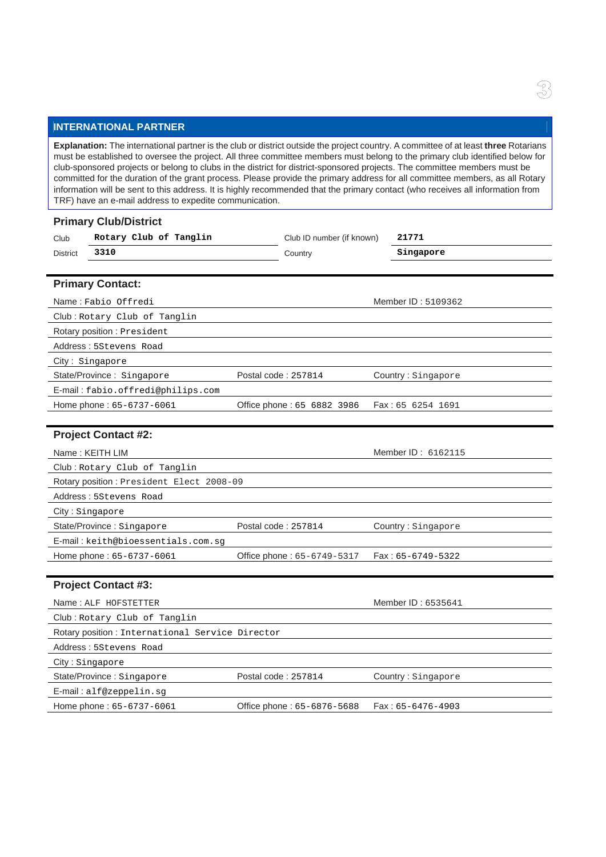# **INTERNATIONAL PARTNER**

**Explanation:** The international partner is the club or district outside the project country. A committee of at least **three** Rotarians must be established to oversee the project. All three committee members must belong to the primary club identified below for club-sponsored projects or belong to clubs in the district for district-sponsored projects. The committee members must be committed for the duration of the grant process. Please provide the primary address for all committee members, as all Rotary information will be sent to this address. It is highly recommended that the primary contact (who receives all information from TRF) have an e-mail address to expedite communication.

|                 | <b>Primary Club/District</b>                    |                            |                     |
|-----------------|-------------------------------------------------|----------------------------|---------------------|
| Club            | Rotary Club of Tanglin                          | Club ID number (if known)  | 21771               |
| <b>District</b> | 3310                                            | Country                    | Singapore           |
|                 |                                                 |                            |                     |
|                 | <b>Primary Contact:</b>                         |                            |                     |
|                 | Name: Fabio Offredi                             |                            | Member ID: 5109362  |
|                 | Club: Rotary Club of Tanglin                    |                            |                     |
|                 | Rotary position : President                     |                            |                     |
|                 | Address: 5Stevens Road                          |                            |                     |
|                 | City: Singapore                                 |                            |                     |
|                 | State/Province: Singapore                       | Postal code: 257814        | Country: Singapore  |
|                 | E-mail: fabio.offredi@philips.com               |                            |                     |
|                 | Home phone: 65-6737-6061                        | Office phone: 65 6882 3986 | Fax: 65 6254 1691   |
|                 |                                                 |                            |                     |
|                 | <b>Project Contact #2:</b>                      |                            |                     |
|                 | Name: KEITH LIM                                 |                            | Member ID: 6162115  |
|                 | Club: Rotary Club of Tanglin                    |                            |                     |
|                 | Rotary position: President Elect 2008-09        |                            |                     |
|                 | Address: 5Stevens Road                          |                            |                     |
|                 | City: Singapore                                 |                            |                     |
|                 | State/Province: Singapore                       | Postal code: 257814        | Country: Singapore  |
|                 | E-mail: keith@bioessentials.com.sq              |                            |                     |
|                 | Home phone: 65-6737-6061                        | Office phone: 65-6749-5317 | $Fax: 65-6749-5322$ |
|                 |                                                 |                            |                     |
|                 | <b>Project Contact #3:</b>                      |                            |                     |
|                 | Name: ALF HOFSTETTER                            |                            | Member ID: 6535641  |
|                 | Club: Rotary Club of Tanglin                    |                            |                     |
|                 | Rotary position: International Service Director |                            |                     |
|                 | Address: 5Stevens Road                          |                            |                     |
|                 | City: Singapore                                 |                            |                     |
|                 | State/Province: Singapore                       | Postal code: 257814        | Country: Singapore  |
|                 | E-mail: alf@zeppelin.sg                         |                            |                     |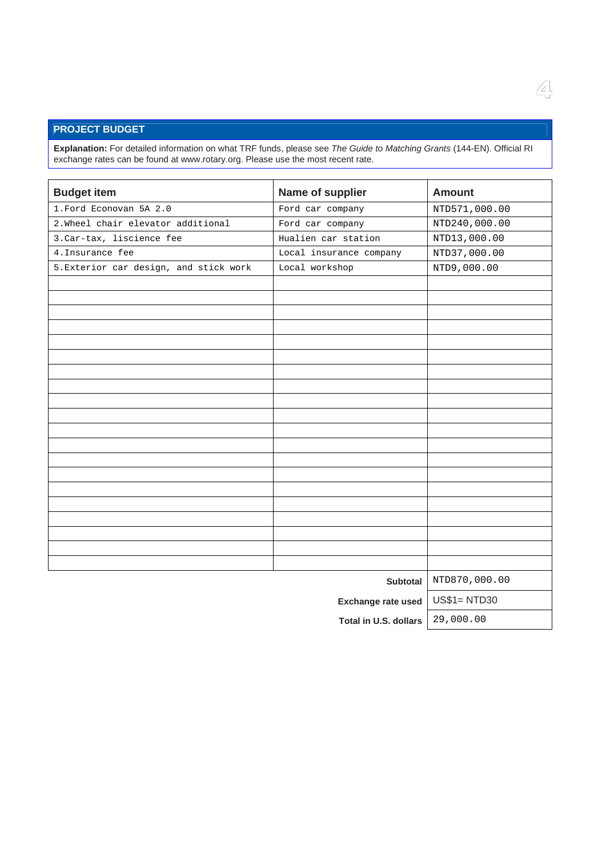# **PROJECT BUDGET**

**Explanation:** For detailed information on what TRF funds, please see *The Guide to Matching Grants* (144-EN). Official RI exchange rates can be found at www.rotary.org. Please use the most recent rate.

| <b>Budget item</b>                     | Name of supplier        | <b>Amount</b>      |
|----------------------------------------|-------------------------|--------------------|
| 1. Ford Econovan 5A 2.0                | Ford car company        | NTD571,000.00      |
| 2. Wheel chair elevator additional     | Ford car company        | NTD240,000.00      |
| 3. Car-tax, liscience fee              | Hualien car station     | NTD13,000.00       |
| 4. Insurance fee                       | Local insurance company | NTD37,000.00       |
| 5. Exterior car design, and stick work | Local workshop          | NTD9,000.00        |
|                                        |                         |                    |
|                                        |                         |                    |
|                                        |                         |                    |
|                                        |                         |                    |
|                                        |                         |                    |
|                                        |                         |                    |
|                                        |                         |                    |
|                                        |                         |                    |
|                                        |                         |                    |
|                                        |                         |                    |
|                                        |                         |                    |
|                                        |                         |                    |
|                                        |                         |                    |
|                                        |                         |                    |
|                                        |                         |                    |
|                                        |                         |                    |
|                                        |                         |                    |
|                                        |                         |                    |
|                                        |                         |                    |
|                                        |                         |                    |
|                                        | <b>Subtotal</b>         | NTD870,000.00      |
|                                        | Exchange rate used      | <b>US\$1=NTD30</b> |
|                                        |                         |                    |

**Total in U.S. dollars** 29,000.00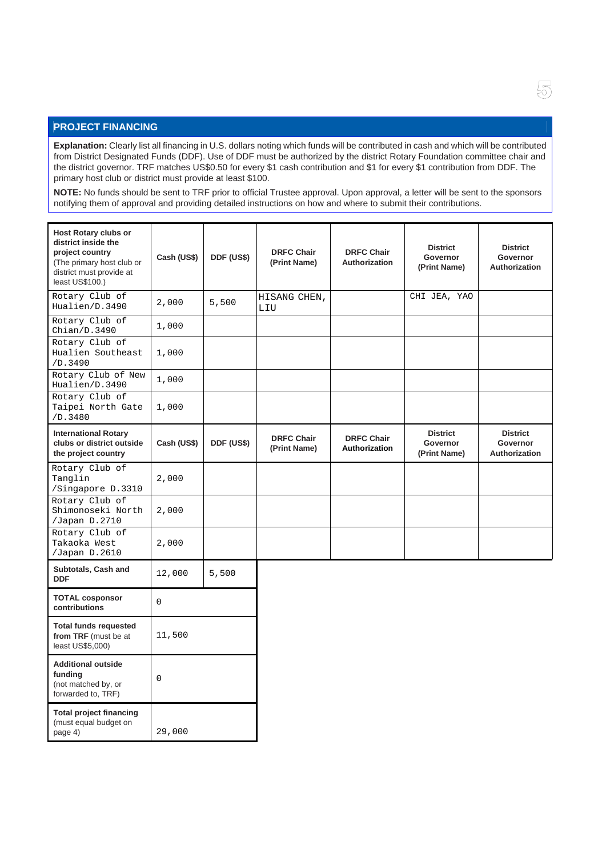# **PROJECT FINANCING**

**Explanation:** Clearly list all financing in U.S. dollars noting which funds will be contributed in cash and which will be contributed from District Designated Funds (DDF). Use of DDF must be authorized by the district Rotary Foundation committee chair and the district governor. TRF matches US\$0.50 for every \$1 cash contribution and \$1 for every \$1 contribution from DDF. The primary host club or district must provide at least \$100.

**NOTE:** No funds should be sent to TRF prior to official Trustee approval. Upon approval, a letter will be sent to the sponsors notifying them of approval and providing detailed instructions on how and where to submit their contributions.

| <b>Host Rotary clubs or</b><br>district inside the<br>project country<br>(The primary host club or<br>district must provide at<br>least US\$100.) | Cash (US\$) | DDF (US\$) | <b>DRFC Chair</b><br>(Print Name) | <b>DRFC Chair</b><br>Authorization        | <b>District</b><br>Governor<br>(Print Name) | <b>District</b><br>Governor<br>Authorization        |
|---------------------------------------------------------------------------------------------------------------------------------------------------|-------------|------------|-----------------------------------|-------------------------------------------|---------------------------------------------|-----------------------------------------------------|
| Rotary Club of<br>Hualien/D.3490                                                                                                                  | 2,000       | 5,500      | HISANG CHEN,<br>LIU               |                                           | CHI JEA, YAO                                |                                                     |
| Rotary Club of<br>Chian/D.3490                                                                                                                    | 1,000       |            |                                   |                                           |                                             |                                                     |
| Rotary Club of<br>Hualien Southeast<br>/D.3490                                                                                                    | 1,000       |            |                                   |                                           |                                             |                                                     |
| Rotary Club of New<br>Hualien/D.3490                                                                                                              | 1,000       |            |                                   |                                           |                                             |                                                     |
| Rotary Club of<br>Taipei North Gate<br>/D.3480                                                                                                    | 1,000       |            |                                   |                                           |                                             |                                                     |
| <b>International Rotary</b><br>clubs or district outside<br>the project country                                                                   | Cash (US\$) | DDF (US\$) | <b>DRFC Chair</b><br>(Print Name) | <b>DRFC Chair</b><br><b>Authorization</b> | <b>District</b><br>Governor<br>(Print Name) | <b>District</b><br>Governor<br><b>Authorization</b> |
| Rotary Club of<br>Tanglin<br>/Singapore D.3310                                                                                                    | 2,000       |            |                                   |                                           |                                             |                                                     |
| Rotary Club of<br>Shimonoseki North<br>/Japan D.2710                                                                                              | 2,000       |            |                                   |                                           |                                             |                                                     |
| Rotary Club of<br>Takaoka West<br>/Japan D.2610                                                                                                   | 2,000       |            |                                   |                                           |                                             |                                                     |
| Subtotals, Cash and<br><b>DDF</b>                                                                                                                 | 12,000      | 5,500      |                                   |                                           |                                             |                                                     |
| <b>TOTAL cosponsor</b><br>contributions                                                                                                           | $\Omega$    |            |                                   |                                           |                                             |                                                     |
| <b>Total funds requested</b><br>from TRF (must be at<br>least US\$5,000)                                                                          | 11,500      |            |                                   |                                           |                                             |                                                     |
| <b>Additional outside</b><br>funding<br>(not matched by, or<br>forwarded to, TRF)                                                                 | 0           |            |                                   |                                           |                                             |                                                     |
| <b>Total project financing</b><br>(must equal budget on<br>page 4)                                                                                | 29,000      |            |                                   |                                           |                                             |                                                     |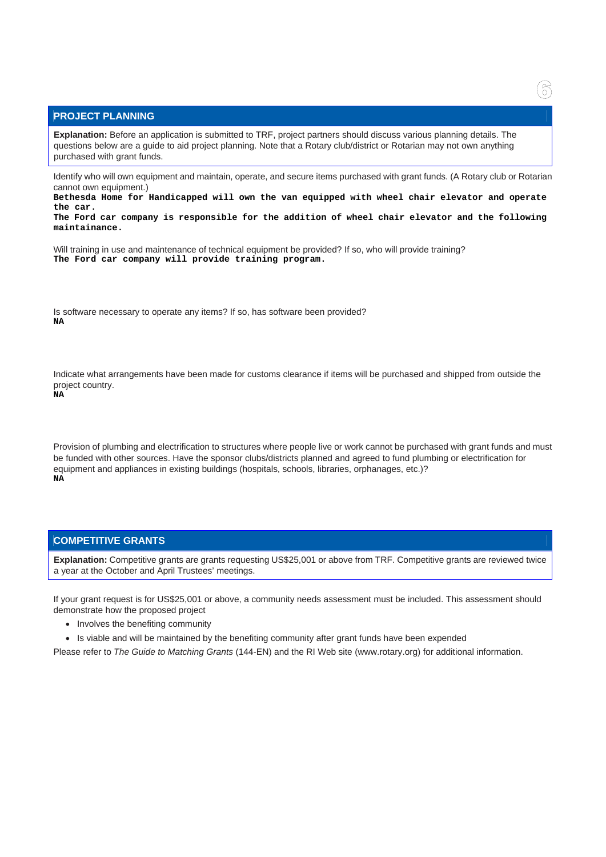#### **PROJECT PLANNING**

**Explanation:** Before an application is submitted to TRF, project partners should discuss various planning details. The questions below are a guide to aid project planning. Note that a Rotary club/district or Rotarian may not own anything purchased with grant funds.

Identify who will own equipment and maintain, operate, and secure items purchased with grant funds. (A Rotary club or Rotarian cannot own equipment.)

**Bethesda Home for Handicapped will own the van equipped with wheel chair elevator and operate the car.** 

**The Ford car company is responsible for the addition of wheel chair elevator and the following maintainance.** 

Will training in use and maintenance of technical equipment be provided? If so, who will provide training? **The Ford car company will provide training program.** 

Is software necessary to operate any items? If so, has software been provided? **NA** 

Indicate what arrangements have been made for customs clearance if items will be purchased and shipped from outside the project country.

**NA** 

Provision of plumbing and electrification to structures where people live or work cannot be purchased with grant funds and must be funded with other sources. Have the sponsor clubs/districts planned and agreed to fund plumbing or electrification for equipment and appliances in existing buildings (hospitals, schools, libraries, orphanages, etc.)? **NA** 

## **COMPETITIVE GRANTS**

**Explanation:** Competitive grants are grants requesting US\$25,001 or above from TRF. Competitive grants are reviewed twice a year at the October and April Trustees' meetings.

If your grant request is for US\$25,001 or above, a community needs assessment must be included. This assessment should demonstrate how the proposed project

- Involves the benefiting community
- Is viable and will be maintained by the benefiting community after grant funds have been expended

Please refer to *The Guide to Matching Grants* (144-EN) and the RI Web site (www.rotary.org) for additional information.

6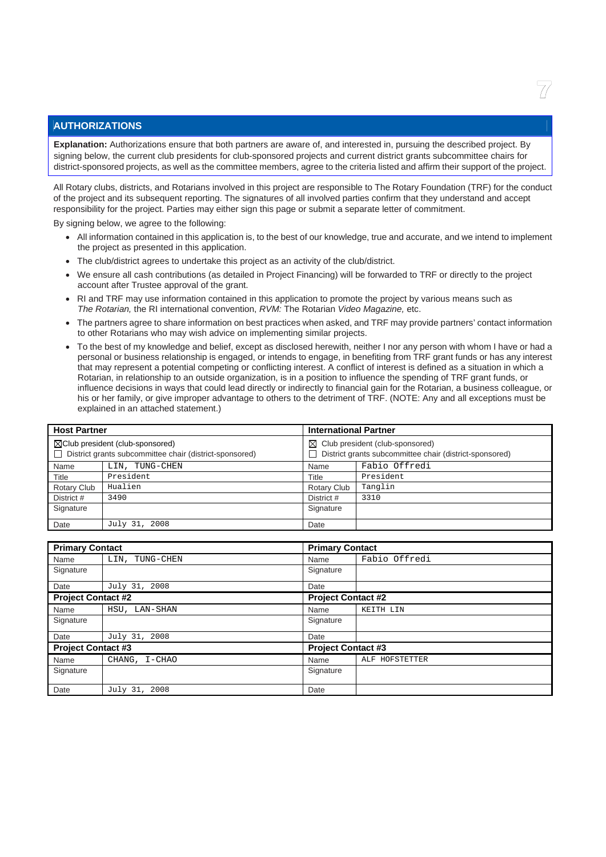# **AUTHORIZATIONS**

**Explanation:** Authorizations ensure that both partners are aware of, and interested in, pursuing the described project. By signing below, the current club presidents for club-sponsored projects and current district grants subcommittee chairs for district-sponsored projects, as well as the committee members, agree to the criteria listed and affirm their support of the project.

All Rotary clubs, districts, and Rotarians involved in this project are responsible to The Rotary Foundation (TRF) for the conduct of the project and its subsequent reporting. The signatures of all involved parties confirm that they understand and accept responsibility for the project. Parties may either sign this page or submit a separate letter of commitment.

By signing below, we agree to the following:

- All information contained in this application is, to the best of our knowledge, true and accurate, and we intend to implement the project as presented in this application.
- The club/district agrees to undertake this project as an activity of the club/district.
- We ensure all cash contributions (as detailed in Project Financing) will be forwarded to TRF or directly to the project account after Trustee approval of the grant.
- RI and TRF may use information contained in this application to promote the project by various means such as *The Rotarian,* the RI international convention, *RVM:* The Rotarian *Video Magazine,* etc.
- The partners agree to share information on best practices when asked, and TRF may provide partners' contact information to other Rotarians who may wish advice on implementing similar projects.
- To the best of my knowledge and belief, except as disclosed herewith, neither I nor any person with whom I have or had a personal or business relationship is engaged, or intends to engage, in benefiting from TRF grant funds or has any interest that may represent a potential competing or conflicting interest. A conflict of interest is defined as a situation in which a Rotarian, in relationship to an outside organization, is in a position to influence the spending of TRF grant funds, or influence decisions in ways that could lead directly or indirectly to financial gain for the Rotarian, a business colleague, or his or her family, or give improper advantage to others to the detriment of TRF. (NOTE: Any and all exceptions must be explained in an attached statement.)

| <b>Host Partner</b> |                                                                                                        | <b>International Partner</b>                                                                            |               |
|---------------------|--------------------------------------------------------------------------------------------------------|---------------------------------------------------------------------------------------------------------|---------------|
|                     | $\boxtimes$ Club president (club-sponsored)<br>District grants subcommittee chair (district-sponsored) | Club president (club-sponsored)<br>$\bowtie$<br>District grants subcommittee chair (district-sponsored) |               |
| Name                | LIN, TUNG-CHEN                                                                                         | Name                                                                                                    | Fabio Offredi |
| Title               | President                                                                                              | Title                                                                                                   | President     |
| Rotary Club         | Hualien                                                                                                | Rotary Club                                                                                             | Tanglin       |
| District #          | 3490                                                                                                   | District #                                                                                              | 3310          |
| Signature           |                                                                                                        | Signature                                                                                               |               |
| Date                | July 31, 2008                                                                                          | Date                                                                                                    |               |

| <b>Primary Contact</b>    |                |                           | <b>Primary Contact</b> |  |
|---------------------------|----------------|---------------------------|------------------------|--|
| Name                      | LIN, TUNG-CHEN | Name                      | Fabio Offredi          |  |
| Signature                 |                | Signature                 |                        |  |
| Date                      | July 31, 2008  | Date                      |                        |  |
| <b>Project Contact #2</b> |                | <b>Project Contact #2</b> |                        |  |
| Name                      | HSU, LAN-SHAN  | Name                      | KEITH LIN              |  |
| Signature                 |                | Signature                 |                        |  |
| Date                      | July 31, 2008  | Date                      |                        |  |
| <b>Project Contact #3</b> |                | <b>Project Contact #3</b> |                        |  |
| Name                      | CHANG, I-CHAO  | Name                      | ALF HOFSTETTER         |  |
| Signature                 |                | Signature                 |                        |  |
| Date                      | July 31, 2008  | Date                      |                        |  |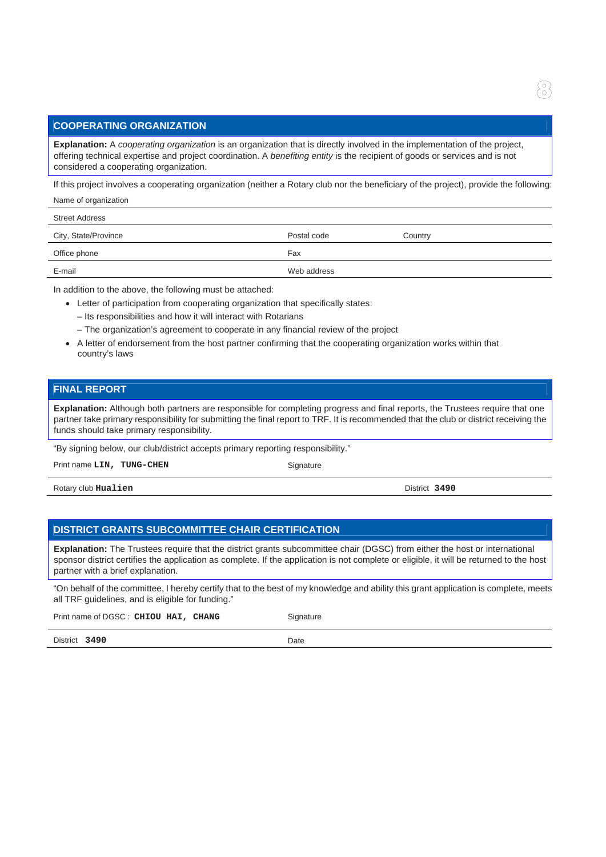# **COOPERATING ORGANIZATION**

**Explanation:** A *cooperating organization* is an organization that is directly involved in the implementation of the project, offering technical expertise and project coordination. A *benefiting entity* is the recipient of goods or services and is not considered a cooperating organization.

If this project involves a cooperating organization (neither a Rotary club nor the beneficiary of the project), provide the following:

Name of organization

| <b>Street Address</b> |             |         |
|-----------------------|-------------|---------|
| City, State/Province  | Postal code | Country |
| Office phone          | Fax         |         |
| E-mail                | Web address |         |

In addition to the above, the following must be attached:

- Letter of participation from cooperating organization that specifically states:
	- Its responsibilities and how it will interact with Rotarians
	- The organization's agreement to cooperate in any financial review of the project
- A letter of endorsement from the host partner confirming that the cooperating organization works within that country's laws

#### **FINAL REPORT**

**Explanation:** Although both partners are responsible for completing progress and final reports, the Trustees require that one partner take primary responsibility for submitting the final report to TRF. It is recommended that the club or district receiving the funds should take primary responsibility.

"By signing below, our club/district accepts primary reporting responsibility."

Print name LIN, TUNG-CHEN Signature

Rotary club **Hualien** District **3490**

## **DISTRICT GRANTS SUBCOMMITTEE CHAIR CERTIFICATION**

**Explanation:** The Trustees require that the district grants subcommittee chair (DGSC) from either the host or international sponsor district certifies the application as complete. If the application is not complete or eligible, it will be returned to the host partner with a brief explanation.

"On behalf of the committee, I hereby certify that to the best of my knowledge and ability this grant application is complete, meets all TRF guidelines, and is eligible for funding."

Print name of DGSC : CHIOU HAI, CHANG<br>
Signature

District **3490** Date